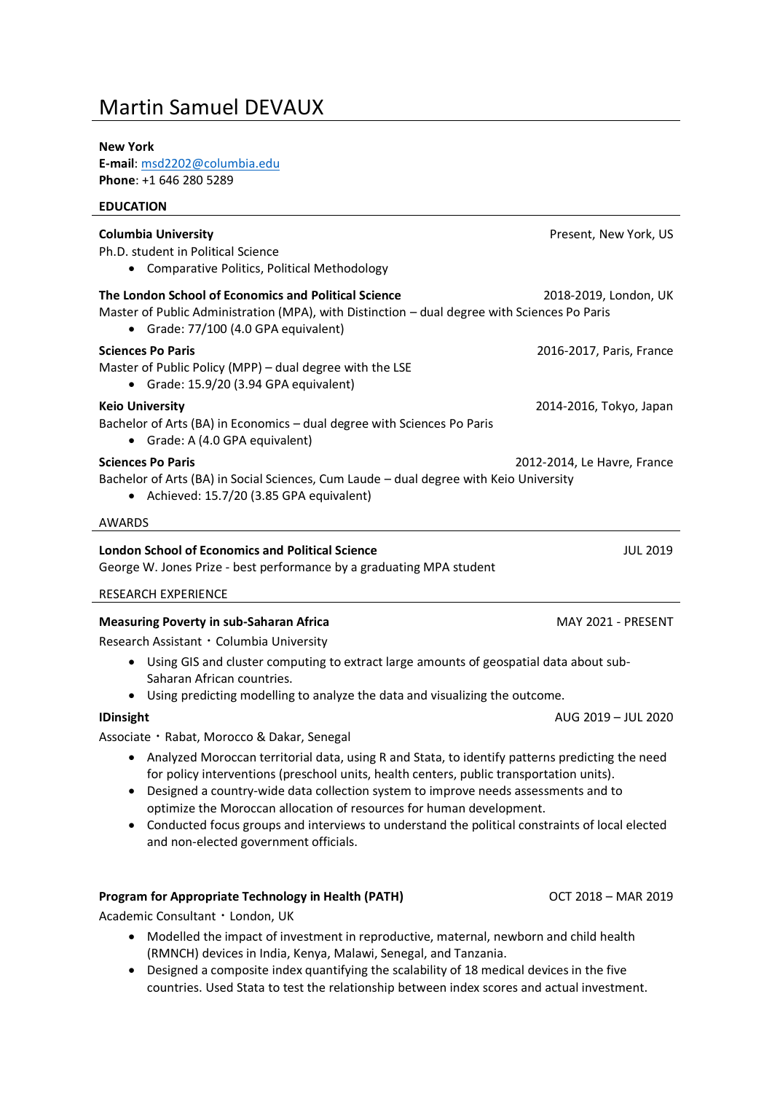# Martin Samuel DEVAUX

#### **New York**

**E-mail**[: msd2202@columbia.edu](mailto:msd2202@columbia.edu) **Phone**: +1 646 280 5289

Academic Consultant・London, UK

| <b>EDUCATION</b>                                                                                                                                                                                                                                                                                                                                                                                                                                                                                                  |                             |
|-------------------------------------------------------------------------------------------------------------------------------------------------------------------------------------------------------------------------------------------------------------------------------------------------------------------------------------------------------------------------------------------------------------------------------------------------------------------------------------------------------------------|-----------------------------|
| <b>Columbia University</b><br>Ph.D. student in Political Science<br>• Comparative Politics, Political Methodology                                                                                                                                                                                                                                                                                                                                                                                                 | Present, New York, US       |
| The London School of Economics and Political Science<br>2018-2019, London, UK<br>Master of Public Administration (MPA), with Distinction - dual degree with Sciences Po Paris<br>• Grade: 77/100 (4.0 GPA equivalent)                                                                                                                                                                                                                                                                                             |                             |
| <b>Sciences Po Paris</b><br>Master of Public Policy (MPP) - dual degree with the LSE<br>• Grade: 15.9/20 (3.94 GPA equivalent)                                                                                                                                                                                                                                                                                                                                                                                    | 2016-2017, Paris, France    |
| <b>Keio University</b><br>Bachelor of Arts (BA) in Economics - dual degree with Sciences Po Paris<br>• Grade: A (4.0 GPA equivalent)                                                                                                                                                                                                                                                                                                                                                                              | 2014-2016, Tokyo, Japan     |
| <b>Sciences Po Paris</b><br>Bachelor of Arts (BA) in Social Sciences, Cum Laude - dual degree with Keio University<br>• Achieved: 15.7/20 (3.85 GPA equivalent)                                                                                                                                                                                                                                                                                                                                                   | 2012-2014, Le Havre, France |
| <b>AWARDS</b>                                                                                                                                                                                                                                                                                                                                                                                                                                                                                                     |                             |
| <b>London School of Economics and Political Science</b><br>George W. Jones Prize - best performance by a graduating MPA student                                                                                                                                                                                                                                                                                                                                                                                   | <b>JUL 2019</b>             |
| <b>RESEARCH EXPERIENCE</b>                                                                                                                                                                                                                                                                                                                                                                                                                                                                                        |                             |
| <b>Measuring Poverty in sub-Saharan Africa</b><br>Research Assistant · Columbia University                                                                                                                                                                                                                                                                                                                                                                                                                        | MAY 2021 - PRESENT          |
| • Using GIS and cluster computing to extract large amounts of geospatial data about sub-<br>Saharan African countries.                                                                                                                                                                                                                                                                                                                                                                                            |                             |
| Using predicting modelling to analyze the data and visualizing the outcome.<br>٠                                                                                                                                                                                                                                                                                                                                                                                                                                  |                             |
| <b>IDinsight</b><br>Associate · Rabat, Morocco & Dakar, Senegal                                                                                                                                                                                                                                                                                                                                                                                                                                                   | AUG 2019 - JUL 2020         |
| Analyzed Moroccan territorial data, using R and Stata, to identify patterns predicting the need<br>$\bullet$<br>for policy interventions (preschool units, health centers, public transportation units).<br>Designed a country-wide data collection system to improve needs assessments and to<br>optimize the Moroccan allocation of resources for human development.<br>Conducted focus groups and interviews to understand the political constraints of local elected<br>and non-elected government officials. |                             |
|                                                                                                                                                                                                                                                                                                                                                                                                                                                                                                                   |                             |

## • Modelled the impact of investment in reproductive, maternal, newborn and child health (RMNCH) devices in India, Kenya, Malawi, Senegal, and Tanzania.

• Designed a composite index quantifying the scalability of 18 medical devices in the five countries. Used Stata to test the relationship between index scores and actual investment.

**Program for Appropriate Technology in Health (PATH)** OCT 2018 – MAR 2019